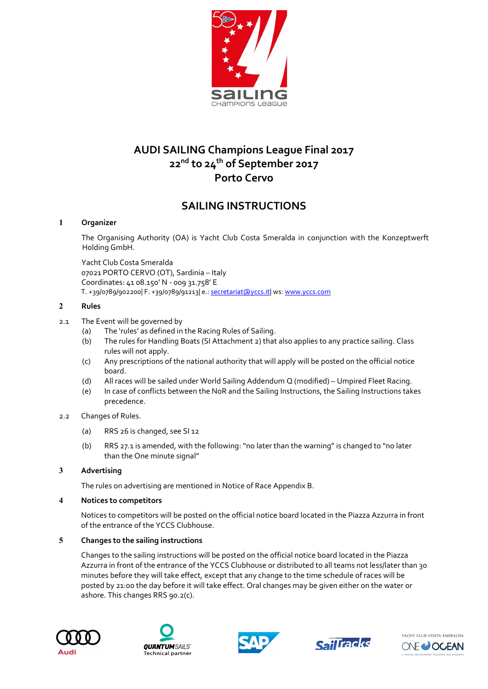

# AUDI SAILING Champions League Final 2017 22<sup>nd</sup> to 24<sup>th</sup> of September 2017 Porto Cervo

# SAILING INSTRUCTIONS

# 1 Organizer

The Organising Authority (OA) is Yacht Club Costa Smeralda in conjunction with the Konzeptwerft Holding GmbH.

Yacht Club Costa Smeralda 07021 PORTO CERVO (OT), Sardinia – Italy Coordinates: 41 08.150' N - 009 31.758' E T. +39/0789/902200| F. +39/0789/91213| e.: secretariat@yccs.it| ws: www.yccs.com

# 2 Rules

- 2.1 The Event will be governed by
	- (a) The 'rules' as defined in the Racing Rules of Sailing.
	- (b) The rules for Handling Boats (SI Attachment 2) that also applies to any practice sailing. Class rules will not apply.
	- (c) Any prescriptions of the national authority that will apply will be posted on the official notice board.
	- (d) All races will be sailed under World Sailing Addendum Q (modified) Umpired Fleet Racing.
	- (e) In case of conflicts between the NoR and the Sailing Instructions, the Sailing Instructions takes precedence.

# 2.2 Changes of Rules.

- (a) RRS 26 is changed, see SI 12
- (b) RRS 27.1 is amended, with the following: "no later than the warning" is changed to "no later than the One minute signal"

# 3 Advertising

The rules on advertising are mentioned in Notice of Race Appendix B.

# 4 Notices to competitors

Notices to competitors will be posted on the official notice board located in the Piazza Azzurra in front of the entrance of the YCCS Clubhouse.

# 5 Changes to the sailing instructions

Changes to the sailing instructions will be posted on the official notice board located in the Piazza Azzurra in front of the entrance of the YCCS Clubhouse or distributed to all teams not less/later than 30 minutes before they will take effect, except that any change to the time schedule of races will be posted by 21:00 the day before it will take effect. Oral changes may be given either on the water or ashore. This changes RRS 90.2(c).









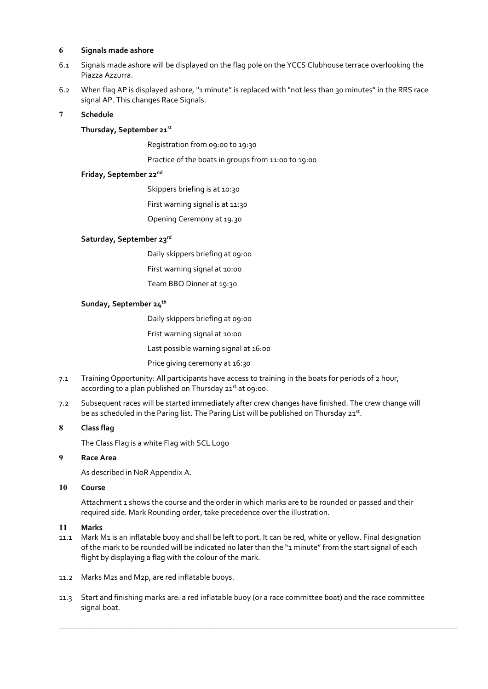#### 6 Signals made ashore

- 6.1 Signals made ashore will be displayed on the flag pole on the YCCS Clubhouse terrace overlooking the Piazza Azzurra.
- 6.2 When flag AP is displayed ashore, "1 minute" is replaced with "not less than 30 minutes" in the RRS race signal AP. This changes Race Signals.
- 7 Schedule

### Thursday, September 21st

Registration from 09:00 to 19:30

Practice of the boats in groups from 11:00 to 19:00

# Friday, September 22nd

Skippers briefing is at 10:30

First warning signal is at 11:30

Opening Ceremony at 19.30

### Saturday, September 23rd

Daily skippers briefing at 09:00

- First warning signal at 10:00
- Team BBQ Dinner at 19:30

### Sunday, September 24<sup>th</sup>

Daily skippers briefing at 09:00

Frist warning signal at 10:00

Last possible warning signal at 16:00

Price giving ceremony at 16:30

- 7.1 Training Opportunity: All participants have access to training in the boats for periods of 2 hour, according to a plan published on Thursday  $21<sup>st</sup>$  at 09:00.
- 7.2 Subsequent races will be started immediately after crew changes have finished. The crew change will be as scheduled in the Paring list. The Paring List will be published on Thursday 21st.

# 8 Class flag

The Class Flag is a white Flag with SCL Logo

### 9 Race Area

As described in NoR Appendix A.

#### 10 Course

Attachment 1 shows the course and the order in which marks are to be rounded or passed and their required side. Mark Rounding order, take precedence over the illustration.

# 11 Marks

- 11.1 Mark M1 is an inflatable buoy and shall be left to port. It can be red, white or yellow. Final designation of the mark to be rounded will be indicated no later than the "1 minute" from the start signal of each flight by displaying a flag with the colour of the mark.
- 11.2 Marks M2s and M2p, are red inflatable buoys.
- 11.3 Start and finishing marks are: a red inflatable buoy (or a race committee boat) and the race committee signal boat.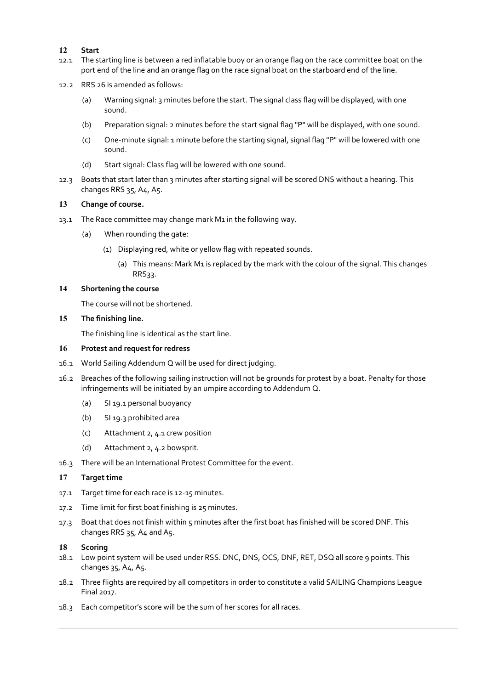# 12 Start

- 12.1 The starting line is between a red inflatable buoy or an orange flag on the race committee boat on the port end of the line and an orange flag on the race signal boat on the starboard end of the line.
- 12.2 RRS 26 is amended as follows:
	- (a) Warning signal: 3 minutes before the start. The signal class flag will be displayed, with one sound.
	- (b) Preparation signal: 2 minutes before the start signal flag "P" will be displayed, with one sound.
	- (c) One-minute signal: 1 minute before the starting signal, signal flag "P" will be lowered with one sound.
	- (d) Start signal: Class flag will be lowered with one sound.
- 12.3 Boats that start later than 3 minutes after starting signal will be scored DNS without a hearing. This changes RRS 35, A4, A5.

#### 13 Change of course.

- 13.1 The Race committee may change mark M1 in the following way.
	- (a) When rounding the gate:
		- (1) Displaying red, white or yellow flag with repeated sounds.
			- (a) This means: Mark M1 is replaced by the mark with the colour of the signal. This changes RRS33.

#### 14 Shortening the course

The course will not be shortened.

15 The finishing line.

The finishing line is identical as the start line.

#### 16 Protest and request for redress

- 16.1 World Sailing Addendum Q will be used for direct judging.
- 16.2 Breaches of the following sailing instruction will not be grounds for protest by a boat. Penalty for those infringements will be initiated by an umpire according to Addendum Q.
	- (a) SI 19.1 personal buoyancy
	- (b) SI 19.3 prohibited area
	- (c) Attachment 2, 4.1 crew position
	- (d) Attachment 2, 4.2 bowsprit.
- 16.3 There will be an International Protest Committee for the event.

#### 17 Target time

- 17.1 Target time for each race is 12-15 minutes.
- 17.2 Time limit for first boat finishing is 25 minutes.
- 17.3 Boat that does not finish within 5 minutes after the first boat has finished will be scored DNF. This changes RRS 35, A4 and A5.

#### 18 Scoring

- 18.1 Low point system will be used under RSS. DNC, DNS, OCS, DNF, RET, DSQ all score 9 points. This changes 35, A4, A5.
- 18.2 Three flights are required by all competitors in order to constitute a valid SAILING Champions League Final 2017.
- 18.3 Each competitor's score will be the sum of her scores for all races.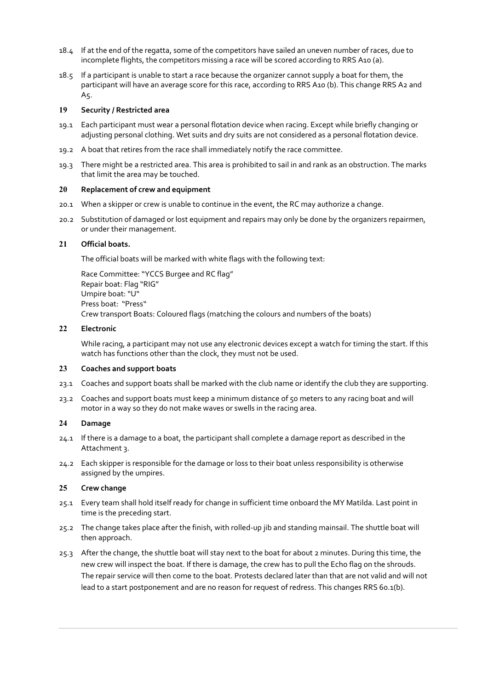- 18.4 If at the end of the regatta, some of the competitors have sailed an uneven number of races, due to incomplete flights, the competitors missing a race will be scored according to RRS A10 (a).
- 18.5 If a participant is unable to start a race because the organizer cannot supply a boat for them, the participant will have an average score for this race, according to RRS A10 (b). This change RRS A2 and A5.

#### 19 Security / Restricted area

- 19.1 Each participant must wear a personal flotation device when racing. Except while briefly changing or adjusting personal clothing. Wet suits and dry suits are not considered as a personal flotation device.
- 19.2 A boat that retires from the race shall immediately notify the race committee.
- 19.3 There might be a restricted area. This area is prohibited to sail in and rank as an obstruction. The marks that limit the area may be touched.

#### 20 Replacement of crew and equipment

- 20.1 When a skipper or crew is unable to continue in the event, the RC may authorize a change.
- 20.2 Substitution of damaged or lost equipment and repairs may only be done by the organizers repairmen, or under their management.

### 21 Official boats.

The official boats will be marked with white flags with the following text:

Race Committee: "YCCS Burgee and RC flag" Repair boat: Flag "RIG" Umpire boat: "U" Press boat: "Press" Crew transport Boats: Coloured flags (matching the colours and numbers of the boats)

#### 22 Electronic

While racing, a participant may not use any electronic devices except a watch for timing the start. If this watch has functions other than the clock, they must not be used.

#### 23 Coaches and support boats

- 23.1 Coaches and support boats shall be marked with the club name or identify the club they are supporting.
- 23.2 Coaches and support boats must keep a minimum distance of 50 meters to any racing boat and will motor in a way so they do not make waves or swells in the racing area.

# 24 Damage

- 24.1 If there is a damage to a boat, the participant shall complete a damage report as described in the Attachment 3.
- 24.2 Each skipper is responsible for the damage or loss to their boat unless responsibility is otherwise assigned by the umpires.

#### 25 Crew change

- 25.1 Every team shall hold itself ready for change in sufficient time onboard the MY Matilda. Last point in time is the preceding start.
- 25.2 The change takes place after the finish, with rolled-up jib and standing mainsail. The shuttle boat will then approach.
- 25.3 After the change, the shuttle boat will stay next to the boat for about 2 minutes. During this time, the new crew will inspect the boat. If there is damage, the crew has to pull the Echo flag on the shrouds. The repair service will then come to the boat. Protests declared later than that are not valid and will not lead to a start postponement and are no reason for request of redress. This changes RRS 60.1(b).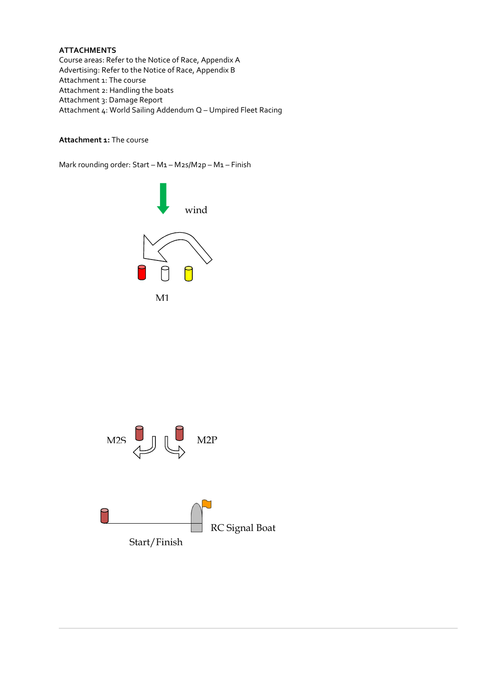# **ATTACHMENTS**

Course areas: Refer to the Notice of Race, Appendix A Advertising: Refer to the Notice of Race, Appendix B Attachment 1: The course Attachment 2: Handling the boats Attachment 3: Damage Report Attachment 4: World Sailing Addendum Q – Umpired Fleet Racing

# Attachment 1: The course

Mark rounding order: Start – M1 – M2s/M2p – M1 – Finish



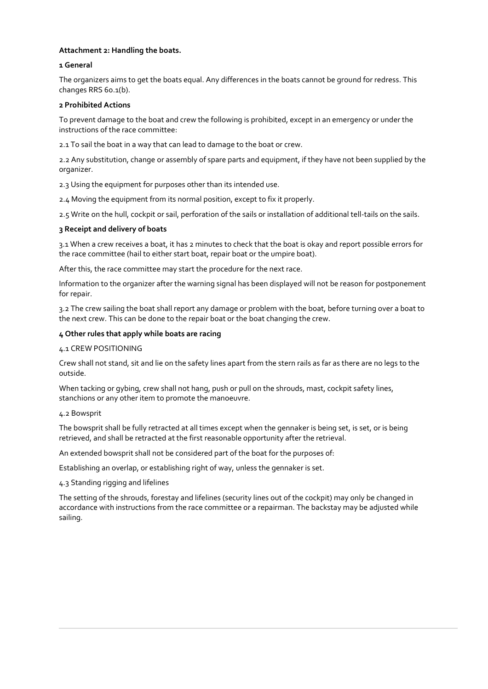### Attachment 2: Handling the boats.

#### 1 General

The organizers aims to get the boats equal. Any differences in the boats cannot be ground for redress. This changes RRS 60.1(b).

#### 2 Prohibited Actions

To prevent damage to the boat and crew the following is prohibited, except in an emergency or under the instructions of the race committee:

2.1 To sail the boat in a way that can lead to damage to the boat or crew.

2.2 Any substitution, change or assembly of spare parts and equipment, if they have not been supplied by the organizer.

2.3 Using the equipment for purposes other than its intended use.

2.4 Moving the equipment from its normal position, except to fix it properly.

2.5 Write on the hull, cockpit or sail, perforation of the sails or installation of additional tell-tails on the sails.

#### 3 Receipt and delivery of boats

3.1 When a crew receives a boat, it has 2 minutes to check that the boat is okay and report possible errors for the race committee (hail to either start boat, repair boat or the umpire boat).

After this, the race committee may start the procedure for the next race.

Information to the organizer after the warning signal has been displayed will not be reason for postponement for repair.

3.2 The crew sailing the boat shall report any damage or problem with the boat, before turning over a boat to the next crew. This can be done to the repair boat or the boat changing the crew.

#### 4 Other rules that apply while boats are racing

#### 4.1 CREW POSITIONING

Crew shall not stand, sit and lie on the safety lines apart from the stern rails as far as there are no legs to the outside.

When tacking or gybing, crew shall not hang, push or pull on the shrouds, mast, cockpit safety lines, stanchions or any other item to promote the manoeuvre.

#### 4.2 Bowsprit

The bowsprit shall be fully retracted at all times except when the gennaker is being set, is set, or is being retrieved, and shall be retracted at the first reasonable opportunity after the retrieval.

An extended bowsprit shall not be considered part of the boat for the purposes of:

Establishing an overlap, or establishing right of way, unless the gennaker is set.

4.3 Standing rigging and lifelines

The setting of the shrouds, forestay and lifelines (security lines out of the cockpit) may only be changed in accordance with instructions from the race committee or a repairman. The backstay may be adjusted while sailing.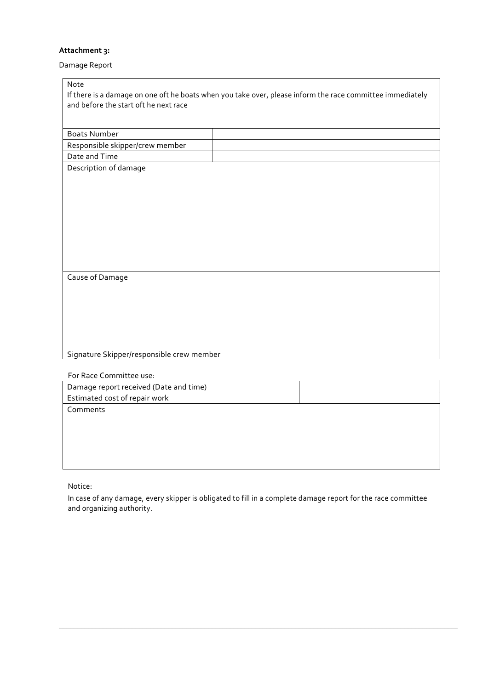# Attachment 3:

Damage Report

| Note                                      |                                                                                                           |
|-------------------------------------------|-----------------------------------------------------------------------------------------------------------|
|                                           | If there is a damage on one oft he boats when you take over, please inform the race committee immediately |
| and before the start oft he next race     |                                                                                                           |
|                                           |                                                                                                           |
| <b>Boats Number</b>                       |                                                                                                           |
| Responsible skipper/crew member           |                                                                                                           |
| Date and Time                             |                                                                                                           |
| Description of damage                     |                                                                                                           |
|                                           |                                                                                                           |
|                                           |                                                                                                           |
|                                           |                                                                                                           |
|                                           |                                                                                                           |
|                                           |                                                                                                           |
|                                           |                                                                                                           |
|                                           |                                                                                                           |
|                                           |                                                                                                           |
| Cause of Damage                           |                                                                                                           |
|                                           |                                                                                                           |
|                                           |                                                                                                           |
|                                           |                                                                                                           |
|                                           |                                                                                                           |
|                                           |                                                                                                           |
| Signature Skipper/responsible crew member |                                                                                                           |
|                                           |                                                                                                           |
| For Race Committee use:                   |                                                                                                           |
| Damage report received (Date and time)    |                                                                                                           |
| Estimated cost of repair work             |                                                                                                           |
| Comments                                  |                                                                                                           |
|                                           |                                                                                                           |

Notice:

In case of any damage, every skipper is obligated to fill in a complete damage report for the race committee and organizing authority.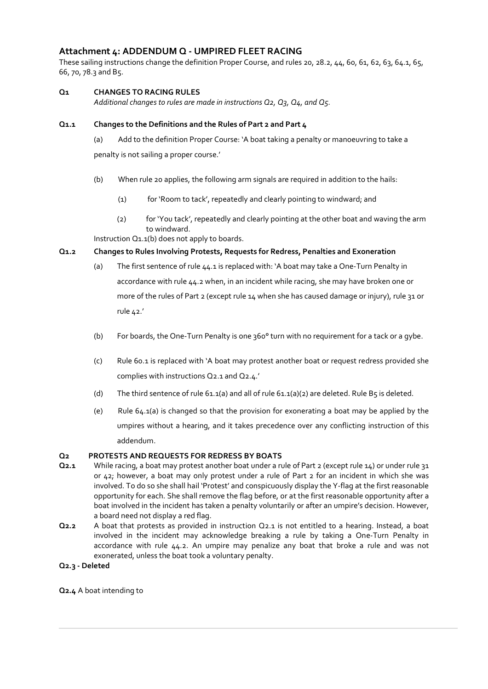# Attachment 4: ADDENDUM Q - UMPIRED FLEET RACING

These sailing instructions change the definition Proper Course, and rules 20, 28.2, 44, 60, 61, 62, 63, 64.1, 65, 66, 70, 78.3 and B5.

# Q1 CHANGES TO RACING RULES

Additional changes to rules are made in instructions Q2, Q3, Q4, and Q5.

### Q1.1 Changes to the Definitions and the Rules of Part 2 and Part 4

(a) Add to the definition Proper Course: 'A boat taking a penalty or manoeuvring to take a penalty is not sailing a proper course.'

- (b) When rule 20 applies, the following arm signals are required in addition to the hails:
	- (1) for 'Room to tack', repeatedly and clearly pointing to windward; and
	- (2) for 'You tack', repeatedly and clearly pointing at the other boat and waving the arm to windward.

Instruction Q1.1(b) does not apply to boards.

### Q1.2 Changes to Rules Involving Protests, Requests for Redress, Penalties and Exoneration

- (a) The first sentence of rule 44.1 is replaced with: 'A boat may take a One-Turn Penalty in accordance with rule 44.2 when, in an incident while racing, she may have broken one or more of the rules of Part 2 (except rule 14 when she has caused damage or injury), rule 31 or rule 42.'
- (b) For boards, the One-Turn Penalty is one  $360^{\circ}$  turn with no requirement for a tack or a gybe.
- (c) Rule 60.1 is replaced with 'A boat may protest another boat or request redress provided she complies with instructions Q2.1 and Q2.4.'
- (d) The third sentence of rule 61.1(a) and all of rule 61.1(a)(2) are deleted. Rule B5 is deleted.
- (e) Rule  $64.1(a)$  is changed so that the provision for exonerating a boat may be applied by the umpires without a hearing, and it takes precedence over any conflicting instruction of this addendum.

# Q2 PROTESTS AND REQUESTS FOR REDRESS BY BOATS

- Q2.1 While racing, a boat may protest another boat under a rule of Part 2 (except rule 14) or under rule 31 or 42; however, a boat may only protest under a rule of Part 2 for an incident in which she was involved. To do so she shall hail 'Protest' and conspicuously display the Y-flag at the first reasonable opportunity for each. She shall remove the flag before, or at the first reasonable opportunity after a boat involved in the incident has taken a penalty voluntarily or after an umpire's decision. However, a board need not display a red flag.
- Q2.2 A boat that protests as provided in instruction Q2.1 is not entitled to a hearing. Instead, a boat involved in the incident may acknowledge breaking a rule by taking a One-Turn Penalty in accordance with rule 44.2. An umpire may penalize any boat that broke a rule and was not exonerated, unless the boat took a voluntary penalty.

#### Q2.3 - Deleted

Q2.4 A boat intending to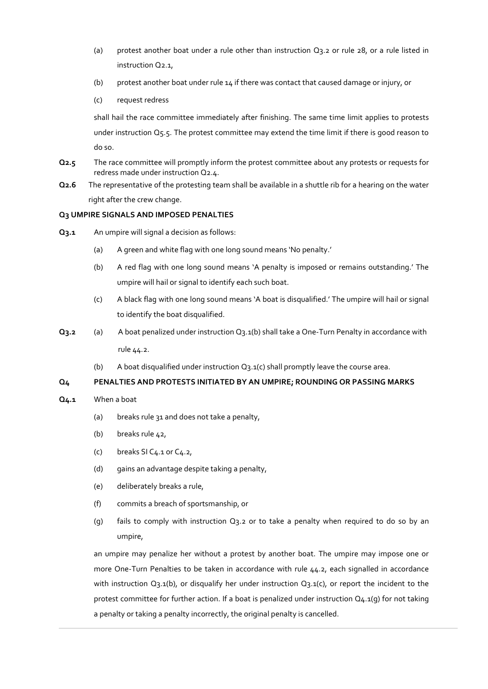- (a) protest another boat under a rule other than instruction  $Q_3$ ,  $2$  or rule  $28$ , or a rule listed in instruction Q2.1,
- (b) protest another boat under rule 14 if there was contact that caused damage or injury, or
- (c) request redress

shall hail the race committee immediately after finishing. The same time limit applies to protests under instruction Q5.5. The protest committee may extend the time limit if there is good reason to do so.

- Q2.5 The race committee will promptly inform the protest committee about any protests or requests for redress made under instruction Q2.4.
- Q2.6 The representative of the protesting team shall be available in a shuttle rib for a hearing on the water right after the crew change.

# Q3 UMPIRE SIGNALS AND IMPOSED PENALTIES

- Q<sub>3</sub>.1 An umpire will signal a decision as follows:
	- (a) A green and white flag with one long sound means 'No penalty.'
	- (b) A red flag with one long sound means 'A penalty is imposed or remains outstanding.' The umpire will hail or signal to identify each such boat.
	- (c) A black flag with one long sound means 'A boat is disqualified.' The umpire will hail or signal to identify the boat disqualified.
- Q3.2 (a) A boat penalized under instruction Q3.1(b) shall take a One-Turn Penalty in accordance with rule 44.2.
	- (b) A boat disqualified under instruction Q3.1(c) shall promptly leave the course area.

# Q4 PENALTIES AND PROTESTS INITIATED BY AN UMPIRE; ROUNDING OR PASSING MARKS

- Q4.1 When a boat
	- (a) breaks rule 31 and does not take a penalty,
	- (b) breaks rule 42,
	- (c) breaks SI  $C_4$ .1 or  $C_4$ .2,
	- (d) gains an advantage despite taking a penalty,
	- (e) deliberately breaks a rule,
	- (f) commits a breach of sportsmanship, or
	- (q) fails to comply with instruction  $Q_3$ . 2 or to take a penalty when required to do so by an umpire,

an umpire may penalize her without a protest by another boat. The umpire may impose one or more One-Turn Penalties to be taken in accordance with rule 44.2, each signalled in accordance with instruction Q3.1(b), or disqualify her under instruction Q3.1(c), or report the incident to the protest committee for further action. If a boat is penalized under instruction  $Q_4.1(q)$  for not taking a penalty or taking a penalty incorrectly, the original penalty is cancelled.